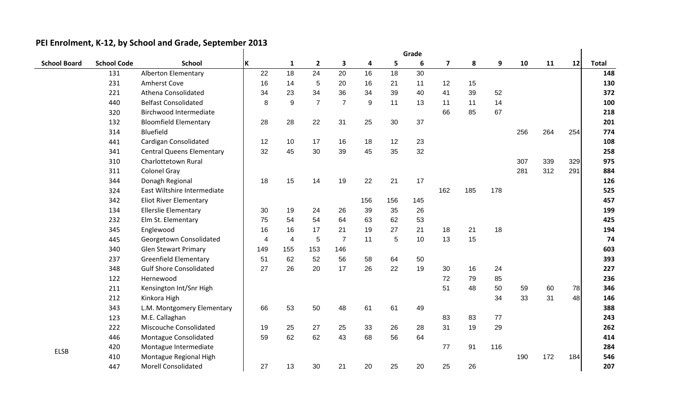|                     |                    | Grade                            |     |                |                |                         |     |     |     |                         |     |     |     |     |     |              |
|---------------------|--------------------|----------------------------------|-----|----------------|----------------|-------------------------|-----|-----|-----|-------------------------|-----|-----|-----|-----|-----|--------------|
| <b>School Board</b> | <b>School Code</b> | <b>School</b>                    | İΚ  | $\mathbf{1}$   | $\overline{2}$ | $\overline{\mathbf{3}}$ | 4   | 5   | 6   | $\overline{\mathbf{z}}$ | 8   | 9   | 10  | 11  | 12  | <b>Total</b> |
|                     | 131                | Alberton Elementary              | 22  | 18             | 24             | 20                      | 16  | 18  | 30  |                         |     |     |     |     |     | 148          |
|                     | 231                | Amherst Cove                     | 16  | 14             | 5              | 20                      | 16  | 21  | 11  | 12                      | 15  |     |     |     |     | 130          |
|                     | 221                | Athena Consolidated              | 34  | 23             | 34             | 36                      | 34  | 39  | 40  | 41                      | 39  | 52  |     |     |     | 372          |
|                     | 440                | <b>Belfast Consolidated</b>      | 8   | 9              | $\overline{7}$ | $\overline{7}$          | 9   | 11  | 13  | 11                      | 11  | 14  |     |     |     | 100          |
|                     | 320                | Birchwood Intermediate           |     |                |                |                         |     |     |     | 66                      | 85  | 67  |     |     |     | 218          |
|                     | 132                | <b>Bloomfield Elementary</b>     | 28  | 28             | 22             | 31                      | 25  | 30  | 37  |                         |     |     |     |     |     | 201          |
|                     | 314                | Bluefield                        |     |                |                |                         |     |     |     |                         |     |     | 256 | 264 | 254 | 774          |
|                     | 441                | Cardigan Consolidated            | 12  | 10             | 17             | 16                      | 18  | 12  | 23  |                         |     |     |     |     |     | 108          |
|                     | 341                | <b>Central Queens Elementary</b> | 32  | 45             | 30             | 39                      | 45  | 35  | 32  |                         |     |     |     |     |     | 258          |
|                     | 310                | Charlottetown Rural              |     |                |                |                         |     |     |     |                         |     |     | 307 | 339 | 329 | 975          |
|                     | 311                | <b>Colonel Gray</b>              |     |                |                |                         |     |     |     |                         |     |     | 281 | 312 | 291 | 884          |
|                     | 344                | Donagh Regional                  | 18  | 15             | 14             | 19                      | 22  | 21  | 17  |                         |     |     |     |     |     | 126          |
|                     | 324                | East Wiltshire Intermediate      |     |                |                |                         |     |     |     | 162                     | 185 | 178 |     |     |     | 525          |
|                     | 342                | <b>Eliot River Elementary</b>    |     |                |                |                         | 156 | 156 | 145 |                         |     |     |     |     |     | 457          |
|                     | 134                | <b>Ellerslie Elementary</b>      | 30  | 19             | 24             | 26                      | 39  | 35  | 26  |                         |     |     |     |     |     | 199          |
|                     | 232                | Elm St. Elementary               | 75  | 54             | 54             | 64                      | 63  | 62  | 53  |                         |     |     |     |     |     | 425          |
|                     | 345                | Englewood                        | 16  | 16             | 17             | 21                      | 19  | 27  | 21  | 18                      | 21  | 18  |     |     |     | 194          |
|                     | 445                | Georgetown Consolidated          | 4   | $\overline{4}$ | $\sqrt{5}$     | $\overline{7}$          | 11  | 5   | 10  | 13                      | 15  |     |     |     |     | 74           |
|                     | 340                | <b>Glen Stewart Primary</b>      | 149 | 155            | 153            | 146                     |     |     |     |                         |     |     |     |     |     | 603          |
|                     | 237                | <b>Greenfield Elementary</b>     | 51  | 62             | 52             | 56                      | 58  | 64  | 50  |                         |     |     |     |     |     | 393          |
|                     | 348                | <b>Gulf Shore Consolidated</b>   | 27  | 26             | 20             | 17                      | 26  | 22  | 19  | 30                      | 16  | 24  |     |     |     | 227          |
|                     | 122                | Hernewood                        |     |                |                |                         |     |     |     | 72                      | 79  | 85  |     |     |     | 236          |
|                     | 211                | Kensington Int/Snr High          |     |                |                |                         |     |     |     | 51                      | 48  | 50  | 59  | 60  | 78  | 346          |
|                     | 212                | Kinkora High                     |     |                |                |                         |     |     |     |                         |     | 34  | 33  | 31  | 48  | 146          |
|                     | 343                | L.M. Montgomery Elementary       | 66  | 53             | 50             | 48                      | 61  | 61  | 49  |                         |     |     |     |     |     | 388          |
|                     | 123                | M.E. Callaghan                   |     |                |                |                         |     |     |     | 83                      | 83  | 77  |     |     |     | 243          |
|                     | 222                | Miscouche Consolidated           | 19  | 25             | 27             | 25                      | 33  | 26  | 28  | 31                      | 19  | 29  |     |     |     | 262          |
|                     | 446                | Montague Consolidated            | 59  | 62             | 62             | 43                      | 68  | 56  | 64  |                         |     |     |     |     |     | 414          |
| <b>ELSB</b>         | 420                | Montague Intermediate            |     |                |                |                         |     |     |     | 77                      | 91  | 116 |     |     |     | 284          |
|                     | 410                | Montague Regional High           |     |                |                |                         |     |     |     |                         |     |     | 190 | 172 | 184 | 546          |
|                     | 447                | <b>Morell Consolidated</b>       | 27  | 13             | 30             | 21                      | 20  | 25  | 20  | 25                      | 26  |     |     |     |     | 207          |

## **PEI Enrolment, K-12, by School and Grade, September 2013**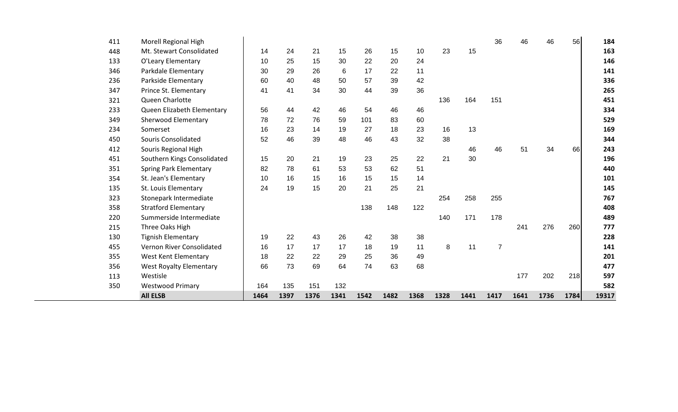| 411 | Morell Regional High           |      |      |      |      |      |      |      |      |      | 36             | 46   | 46   | 56   | 184   |
|-----|--------------------------------|------|------|------|------|------|------|------|------|------|----------------|------|------|------|-------|
| 448 | Mt. Stewart Consolidated       | 14   | 24   | 21   | 15   | 26   | 15   | 10   | 23   | 15   |                |      |      |      | 163   |
| 133 | O'Leary Elementary             | 10   | 25   | 15   | 30   | 22   | 20   | 24   |      |      |                |      |      |      | 146   |
| 346 | Parkdale Elementary            | 30   | 29   | 26   | 6    | 17   | 22   | 11   |      |      |                |      |      |      | 141   |
| 236 | Parkside Elementary            | 60   | 40   | 48   | 50   | 57   | 39   | 42   |      |      |                |      |      |      | 336   |
| 347 | Prince St. Elementary          | 41   | 41   | 34   | 30   | 44   | 39   | 36   |      |      |                |      |      |      | 265   |
| 321 | Queen Charlotte                |      |      |      |      |      |      |      | 136  | 164  | 151            |      |      |      | 451   |
| 233 | Queen Elizabeth Elementary     | 56   | 44   | 42   | 46   | 54   | 46   | 46   |      |      |                |      |      |      | 334   |
| 349 | <b>Sherwood Elementary</b>     | 78   | 72   | 76   | 59   | 101  | 83   | 60   |      |      |                |      |      |      | 529   |
| 234 | Somerset                       | 16   | 23   | 14   | 19   | 27   | 18   | 23   | 16   | 13   |                |      |      |      | 169   |
| 450 | <b>Souris Consolidated</b>     | 52   | 46   | 39   | 48   | 46   | 43   | 32   | 38   |      |                |      |      |      | 344   |
| 412 | Souris Regional High           |      |      |      |      |      |      |      |      | 46   | 46             | 51   | 34   | 66   | 243   |
| 451 | Southern Kings Consolidated    | 15   | 20   | 21   | 19   | 23   | 25   | 22   | 21   | 30   |                |      |      |      | 196   |
| 351 | <b>Spring Park Elementary</b>  | 82   | 78   | 61   | 53   | 53   | 62   | 51   |      |      |                |      |      |      | 440   |
| 354 | St. Jean's Elementary          | 10   | 16   | 15   | 16   | 15   | 15   | 14   |      |      |                |      |      |      | 101   |
| 135 | St. Louis Elementary           | 24   | 19   | 15   | 20   | 21   | 25   | 21   |      |      |                |      |      |      | 145   |
| 323 | Stonepark Intermediate         |      |      |      |      |      |      |      | 254  | 258  | 255            |      |      |      | 767   |
| 358 | <b>Stratford Elementary</b>    |      |      |      |      | 138  | 148  | 122  |      |      |                |      |      |      | 408   |
| 220 | Summerside Intermediate        |      |      |      |      |      |      |      | 140  | 171  | 178            |      |      |      | 489   |
| 215 | Three Oaks High                |      |      |      |      |      |      |      |      |      |                | 241  | 276  | 260  | 777   |
| 130 | <b>Tignish Elementary</b>      | 19   | 22   | 43   | 26   | 42   | 38   | 38   |      |      |                |      |      |      | 228   |
| 455 | Vernon River Consolidated      | 16   | 17   | 17   | 17   | 18   | 19   | 11   | 8    | 11   | $\overline{7}$ |      |      |      | 141   |
| 355 | West Kent Elementary           | 18   | 22   | 22   | 29   | 25   | 36   | 49   |      |      |                |      |      |      | 201   |
| 356 | <b>West Royalty Elementary</b> | 66   | 73   | 69   | 64   | 74   | 63   | 68   |      |      |                |      |      |      | 477   |
| 113 | Westisle                       |      |      |      |      |      |      |      |      |      |                | 177  | 202  | 218  | 597   |
| 350 | <b>Westwood Primary</b>        | 164  | 135  | 151  | 132  |      |      |      |      |      |                |      |      |      | 582   |
|     | <b>All ELSB</b>                | 1464 | 1397 | 1376 | 1341 | 1542 | 1482 | 1368 | 1328 | 1441 | 1417           | 1641 | 1736 | 1784 | 19317 |